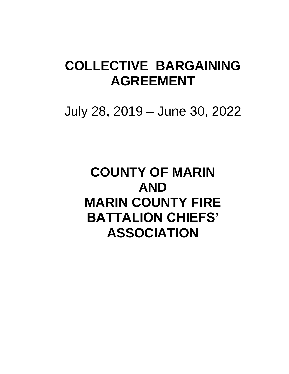# **COLLECTIVE BARGAINING AGREEMENT**

July 28, 2019 – June 30, 2022

**COUNTY OF MARIN AND MARIN COUNTY FIRE BATTALION CHIEFS' ASSOCIATION**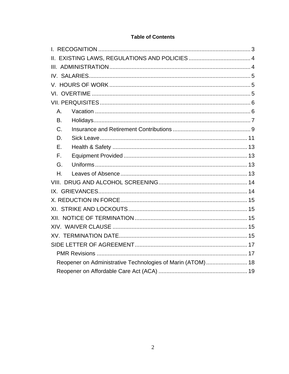# **Table of Contents**

| $A_{-}$                                                    |  |  |  |  |
|------------------------------------------------------------|--|--|--|--|
| <b>B.</b>                                                  |  |  |  |  |
| $C$ .                                                      |  |  |  |  |
| D.                                                         |  |  |  |  |
| Ε.                                                         |  |  |  |  |
| $F_{\rm{H}}$                                               |  |  |  |  |
| G.                                                         |  |  |  |  |
| Η.                                                         |  |  |  |  |
|                                                            |  |  |  |  |
|                                                            |  |  |  |  |
|                                                            |  |  |  |  |
|                                                            |  |  |  |  |
|                                                            |  |  |  |  |
|                                                            |  |  |  |  |
|                                                            |  |  |  |  |
|                                                            |  |  |  |  |
|                                                            |  |  |  |  |
| Reopener on Administrative Technologies of Marin (ATOM) 18 |  |  |  |  |
|                                                            |  |  |  |  |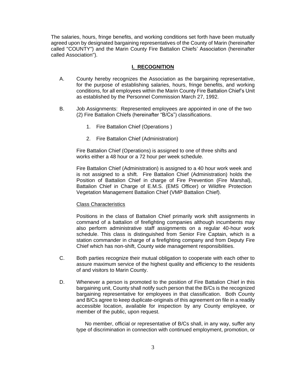The salaries, hours, fringe benefits, and working conditions set forth have been mutually agreed upon by designated bargaining representatives of the County of Marin (hereinafter called "COUNTY") and the Marin County Fire Battalion Chiefs' Association (hereinafter called Association").

## **I. RECOGNITION**

- <span id="page-2-0"></span>A. County hereby recognizes the Association as the bargaining representative, for the purpose of establishing salaries, hours, fringe benefits, and working conditions, for all employees within the Marin County Fire Battalion Chief's Unit as established by the Personnel Commission March 27, 1992.
- B. Job Assignments: Represented employees are appointed in one of the two (2) Fire Battalion Chiefs (hereinafter "B/Cs") classifications.
	- 1. Fire Battalion Chief (Operations )
	- 2. Fire Battalion Chief (Administration)

Fire Battalion Chief (Operations) is assigned to one of three shifts and works either a 48 hour or a 72 hour per week schedule.

Fire Battalion Chief (Administration) is assigned to a 40 hour work week and is not assigned to a shift. Fire Battalion Chief (Administration) holds the Position of Battalion Chief in charge of Fire Prevention (Fire Marshal), Battalion Chief in Charge of E.M.S. (EMS Officer) or Wildfire Protection Vegetation Management Battalion Chief (VMP Battalion Chief).

#### Class Characteristics

Positions in the class of Battalion Chief primarily work shift assignments in command of a battalion of firefighting companies although incumbents may also perform administrative staff assignments on a regular 40-hour work schedule. This class is distinguished from Senior Fire Captain, which is a station commander in charge of a firefighting company and from Deputy Fire Chief which has non-shift, County wide management responsibilities.

- C. Both parties recognize their mutual obligation to cooperate with each other to assure maximum service of the highest quality and efficiency to the residents of and visitors to Marin County.
- D. Whenever a person is promoted to the position of Fire Battalion Chief in this bargaining unit, County shall notify such person that the B/Cs is the recognized bargaining representative for employees in that classification. Both County and B/Cs agree to keep duplicate-originals of this agreement on file in a readily accessible location, available for inspection by any County employee, or member of the public, upon request.

No member, official or representative of B/Cs shall, in any way, suffer any type of discrimination in connection with continued employment, promotion, or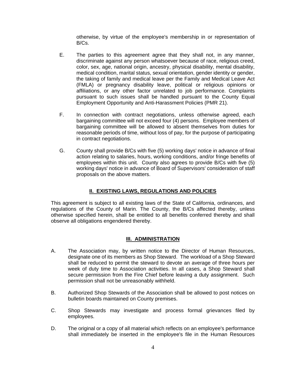otherwise, by virtue of the employee's membership in or representation of B/Cs.

- E. The parties to this agreement agree that they shall not, in any manner, discriminate against any person whatsoever because of race, religious creed, color, sex, age, national origin, ancestry, physical disability, mental disability, medical condition, marital status, sexual orientation, gender identity or gender, the taking of family and medical leave per the Family and Medical Leave Act (FMLA) or pregnancy disability leave, political or religious opinions or affiliations, or any other factor unrelated to job performance. Complaints pursuant to such issues shall be handled pursuant to the County Equal Employment Opportunity and Anti-Harassment Policies (PMR 21).
- F. In connection with contract negotiations, unless otherwise agreed, each bargaining committee will not exceed four (4) persons. Employee members of bargaining committee will be allowed to absent themselves from duties for reasonable periods of time, without loss of pay, for the purpose of participating in contract negotiations.
- G. County shall provide B/Cs with five (5) working days' notice in advance of final action relating to salaries, hours, working conditions, and/or fringe benefits of employees within this unit. County also agrees to provide B/Cs with five (5) working days' notice in advance of Board of Supervisors' consideration of staff proposals on the above matters.

# **II. EXISTING LAWS, REGULATIONS AND POLICIES**

<span id="page-3-0"></span>This agreement is subject to all existing laws of the State of California, ordinances, and regulations of the County of Marin. The County, the B/Cs affected thereby, unless otherwise specified herein, shall be entitled to all benefits conferred thereby and shall observe all obligations engendered thereby.

## **III. ADMINISTRATION**

- <span id="page-3-1"></span>A. The Association may, by written notice to the Director of Human Resources, designate one of its members as Shop Steward. The workload of a Shop Steward shall be reduced to permit the steward to devote an average of three hours per week of duty time to Association activities. In all cases, a Shop Steward shall secure permission from the Fire Chief before leaving a duty assignment. Such permission shall not be unreasonably withheld.
- B. Authorized Shop Stewards of the Association shall be allowed to post notices on bulletin boards maintained on County premises.
- C. Shop Stewards may investigate and process formal grievances filed by employees.
- D. The original or a copy of all material which reflects on an employee's performance shall immediately be inserted in the employee's file in the Human Resources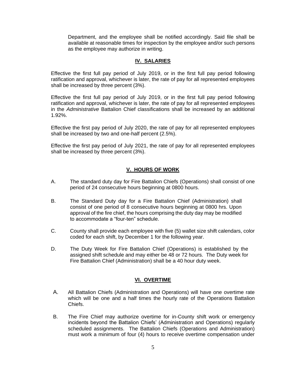Department, and the employee shall be notified accordingly. Said file shall be available at reasonable times for inspection by the employee and/or such persons as the employee may authorize in writing.

## **IV. SALARIES**

<span id="page-4-0"></span>Effective the first full pay period of July 2019, or in the first full pay period following ratification and approval, whichever is later, the rate of pay for all represented employees shall be increased by three percent (3%).

Effective the first full pay period of July 2019, or in the first full pay period following ratification and approval, whichever is later, the rate of pay for all represented employees in the *Administrative* Battalion Chief classifications shall be increased by an additional 1.92%.

Effective the first pay period of July 2020, the rate of pay for all represented employees shall be increased by two and one-half percent (2.5%).

Effective the first pay period of July 2021, the rate of pay for all represented employees shall be increased by three percent (3%).

## **V. HOURS OF WORK**

- <span id="page-4-1"></span>A. The standard duty day for Fire Battalion Chiefs (Operations) shall consist of one period of 24 consecutive hours beginning at 0800 hours.
- B. The Standard Duty day for a Fire Battalion Chief (Administration) shall consist of one period of 8 consecutive hours beginning at 0800 hrs. Upon approval of the fire chief, the hours comprising the duty day may be modified to accommodate a "four-ten" schedule.
- C. County shall provide each employee with five (5) wallet size shift calendars, color coded for each shift, by December 1 for the following year.
- D. The Duty Week for Fire Battalion Chief (Operations) is established by the assigned shift schedule and may either be 48 or 72 hours. The Duty week for Fire Battalion Chief (Administration) shall be a 40 hour duty week.

#### **VI. OVERTIME**

- <span id="page-4-2"></span>A. All Battalion Chiefs (Administration and Operations) will have one overtime rate which will be one and a half times the hourly rate of the Operations Battalion Chiefs.
- B. The Fire Chief may authorize overtime for in-County shift work or emergency incidents beyond the Battalion Chiefs' (Administration and Operations) regularly scheduled assignments. The Battalion Chiefs (Operations and Administration) must work a minimum of four (4) hours to receive overtime compensation under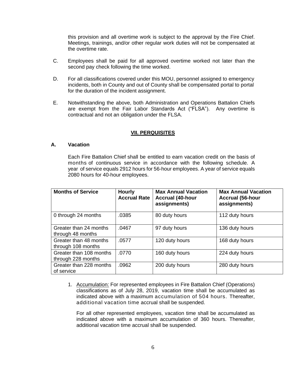this provision and all overtime work is subject to the approval by the Fire Chief. Meetings, trainings, and/or other regular work duties will not be compensated at the overtime rate.

- C. Employees shall be paid for all approved overtime worked not later than the second pay check following the time worked.
- D. For all classifications covered under this MOU, personnel assigned to emergency incidents, both in County and out of County shall be compensated portal to portal for the duration of the incident assignment.
- E. Notwithstanding the above, both Administration and Operations Battalion Chiefs are exempt from the Fair Labor Standards Act ("FLSA"). Any overtime is contractual and not an obligation under the FLSA.

#### **VII. PERQUISITES**

## <span id="page-5-1"></span><span id="page-5-0"></span>**A. Vacation**

Each Fire Battalion Chief shall be entitled to earn vacation credit on the basis of months of continuous service in accordance with the following schedule. A year of service equals 2912 hours for 56-hour employees. A year of service equals 2080 hours for 40-hour employees.

| <b>Months of Service</b>                      | <b>Hourly</b><br><b>Accrual Rate</b> | <b>Max Annual Vacation</b><br><b>Accrual (40-hour</b><br>assignments) | <b>Max Annual Vacation</b><br><b>Accrual (56-hour</b><br>assignments) |
|-----------------------------------------------|--------------------------------------|-----------------------------------------------------------------------|-----------------------------------------------------------------------|
| 0 through 24 months                           | .0385                                | 80 duty hours                                                         | 112 duty hours                                                        |
| Greater than 24 months<br>through 48 months   | .0467                                | 97 duty hours                                                         | 136 duty hours                                                        |
| Greater than 48 months<br>through 108 months  | .0577                                | 120 duty hours                                                        | 168 duty hours                                                        |
| Greater than 108 months<br>through 228 months | .0770                                | 160 duty hours                                                        | 224 duty hours                                                        |
| Greater than 228 months<br>of service         | .0962                                | 200 duty hours                                                        | 280 duty hours                                                        |

1. Accumulation: For represented employees in Fire Battalion Chief (Operations) classifications as of July 28, 2019, vacation time shall be accumulated as indicated above with a maximum accumulation of 504 hours. Thereafter, additional vacation time accrual shall be suspended.

For all other represented employees, vacation time shall be accumulated as indicated above with a maximum accumulation of 360 hours. Thereafter, additional vacation time accrual shall be suspended.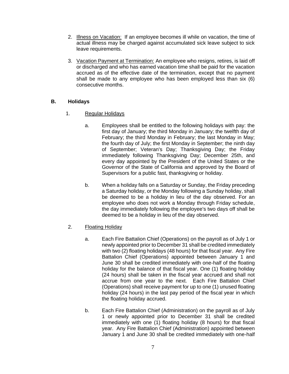- 2. Illness on Vacation: If an employee becomes ill while on vacation, the time of actual illness may be charged against accumulated sick leave subject to sick leave requirements.
- 3. Vacation Payment at Termination: An employee who resigns, retires, is laid off or discharged and who has earned vacation time shall be paid for the vacation accrued as of the effective date of the termination, except that no payment shall be made to any employee who has been employed less than six (6) consecutive months.

## <span id="page-6-0"></span>**B. Holidays**

- 1. Regular Holidays
	- a. Employees shall be entitled to the following holidays with pay: the first day of January; the third Monday in January; the twelfth day of February; the third Monday in February; the last Monday in May; the fourth day of July; the first Monday in September; the ninth day of September; Veteran's Day; Thanksgiving Day; the Friday immediately following Thanksgiving Day; December 25th, and every day appointed by the President of the United States or the Governor of the State of California and approved by the Board of Supervisors for a public fast, thanksgiving or holiday.
	- b. When a holiday falls on a Saturday or Sunday, the Friday preceding a Saturday holiday, or the Monday following a Sunday holiday, shall be deemed to be a holiday in lieu of the day observed. For an employee who does not work a Monday through Friday schedule, the day immediately following the employee's two days off shall be deemed to be a holiday in lieu of the day observed.
- 2. Floating Holiday
	- a. Each Fire Battalion Chief (Operations) on the payroll as of July 1 or newly appointed prior to December 31 shall be credited immediately with two (2) floating holidays (48 hours) for that fiscal year. Any Fire Battalion Chief (Operations) appointed between January 1 and June 30 shall be credited immediately with one-half of the floating holiday for the balance of that fiscal year. One (1) floating holiday (24 hours) shall be taken in the fiscal year accrued and shall not accrue from one year to the next. Each Fire Battalion Chief (Operations) shall receive payment for up to one (1) unused floating holiday (24 hours) in the last pay period of the fiscal year in which the floating holiday accrued.
	- b. Each Fire Battalion Chief (Administration) on the payroll as of July 1 or newly appointed prior to December 31 shall be credited immediately with one (1) floating holiday (8 hours) for that fiscal year. Any Fire Battalion Chief (Administration) appointed between January 1 and June 30 shall be credited immediately with one-half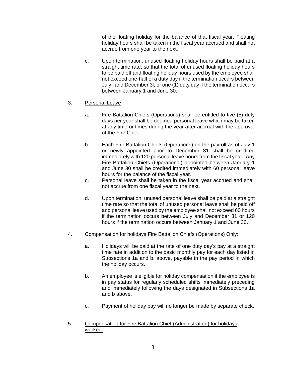of the floating holiday for the balance of that fiscal year. Floating holiday hours shall be taken in the fiscal year accrued and shall not accrue from one year to the next.

c. Upon termination, unused floating holiday hours shall be paid at a straight time rate, so that the total of unused floating holiday hours to be paid off and floating holiday hours used by the employee shall not exceed one-half of a duty day if the termination occurs between July l and December 3l, or one (1) duty day if the termination occurs between January 1 and June 30.

## 3. Personal Leave

- a. Fire Battalion Chiefs (Operations) shall be entitled to five (5) duty days per year shall be deemed personal leave which may be taken at any time or times during the year after accrual with the approval of the Fire Chief.
- b. Each Fire Battalion Chiefs (Operations) on the payroll as of July 1 or newly appointed prior to December 31 shall be credited immediately with 120 personal leave hours from the fiscal year. Any Fire Battalion Chiefs (Operational) appointed between January 1 and June 30 shall be credited immediately with 60 personal leave hours for the balance of the fiscal year.
- c. Personal leave shall be taken in the fiscal year accrued and shall not accrue from one fiscal year to the next.
- d. Upon termination, unused personal leave shall be paid at a straight time rate so that the total of unused personal leave shall be paid off and personal leave used by the employee shall not exceed 60 hours if the termination occurs between July and December 31 or 120 hours if the termination occurs between January 1 and June 30.
- 4. Compensation for holidays Fire Battalion Chiefs (Operations) Only:
	- a. Holidays will be paid at the rate of one duty day's pay at a straight time rate in addition to the basic monthly pay for each day listed in Subsections 1a and b. above, payable in the pay period in which the holiday occurs.
	- b. An employee is eligible for holiday compensation if the employee is in pay status for regularly scheduled shifts immediately preceding and immediately following the days designated in Subsections 1a and b above.
	- c. Payment of holiday pay will no longer be made by separate check.
- 5. Compensation for Fire Battalion Chief (Administration) for holidays worked.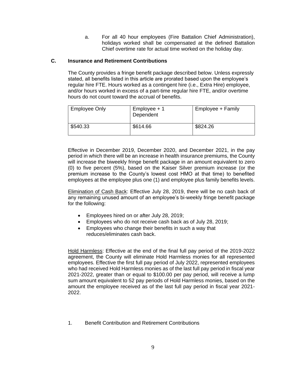a. For all 40 hour employees (Fire Battalion Chief Administration), holidays worked shall be compensated at the defined Battalion Chief overtime rate for actual time worked on the holiday day.

## <span id="page-8-0"></span>**C. Insurance and Retirement Contributions**

The County provides a fringe benefit package described below. Unless expressly stated, all benefits listed in this article are prorated based upon the employee's regular hire FTE. Hours worked as a contingent hire (i.e., Extra Hire) employee, and/or hours worked in excess of a part-time regular hire FTE, and/or overtime hours do not count toward the accrual of benefits.

| <b>Employee Only</b> | $Employee + 1$<br>Dependent | Employee + Family |
|----------------------|-----------------------------|-------------------|
| \$540.33             | \$614.66                    | \$824.26          |

Effective in December 2019, December 2020, and December 2021, in the pay period in which there will be an increase in health insurance premiums, the County will increase the biweekly fringe benefit package in an amount equivalent to zero (0) to five percent (5%), based on the Kaiser Silver premium increase (or the premium increase to the County's lowest cost HMO at that time) to benefited employees at the employee plus one (1) and employee plus family benefits levels.

Elimination of Cash Back: Effective July 28, 2019, there will be no cash back of any remaining unused amount of an employee's bi-weekly fringe benefit package for the following:

- Employees hired on or after July 28, 2019;
- Employees who do not receive cash back as of July 28, 2019;
- Employees who change their benefits in such a way that reduces/eliminates cash back.

Hold Harmless: Effective at the end of the final full pay period of the 2019-2022 agreement, the County will eliminate Hold Harmless monies for all represented employees. Effective the first full pay period of July 2022, represented employees who had received Hold Harmless monies as of the last full pay period in fiscal year 2021-2022, greater than or equal to \$100.00 per pay period, will receive a lump sum amount equivalent to 52 pay periods of Hold Harmless monies, based on the amount the employee received as of the last full pay period in fiscal year 2021- 2022.

1. Benefit Contribution and Retirement Contributions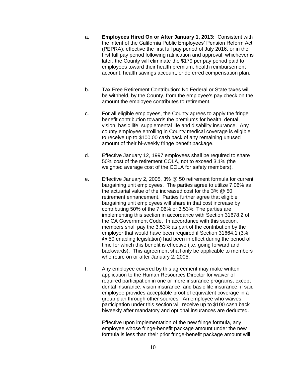- a. **Employees Hired On or After January 1, 2013:** Consistent with the intent of the California Public Employees' Pension Reform Act (PEPRA), effective the first full pay period of July 2016, or in the first full pay period following ratification and approval, whichever is later, the County will eliminate the \$179 per pay period paid to employees toward their health premium, health reimbursement account, health savings account, or deferred compensation plan.
- b. Tax Free Retirement Contribution: No Federal or State taxes will be withheld, by the County, from the employee's pay check on the amount the employee contributes to retirement.
- c. For all eligible employees, the County agrees to apply the fringe benefit contribution towards the premiums for health, dental, vision, basic life, supplemental life and disability insurance. Any county employee enrolling in County medical coverage is eligible to receive up to \$100.00 cash back of any remaining unused amount of their bi-weekly fringe benefit package.
- d. Effective January 12, 1997 employees shall be required to share 50% cost of the retirement COLA, not to exceed 3.1% (the weighted average cost of the COLA for safety members).
- e. Effective January 2, 2005, 3% @ 50 retirement formula for current bargaining unit employees. The parties agree to utilize 7.06% as the actuarial value of the increased cost for the 3% @ 50 retirement enhancement. Parties further agree that eligible bargaining unit employees will share in that cost increase by contributing 50% of the 7.06% or 3.53%. The parties are implementing this section in accordance with Section 31678.2 of the CA Government Code. In accordance with this section, members shall pay the 3.53% as part of the contribution by the employer that would have been required if Section 31664.1 (3% @ 50 enabling legislation) had been in effect during the period of time for which this benefit is effective (i.e. going forward and backwards). This agreement shall only be applicable to members who retire on or after January 2, 2005.
- f. Any employee covered by this agreement may make written application to the Human Resources Director for waiver of required participation in one or more insurance programs, except dental insurance, vision insurance, and basic life insurance, if said employee provides acceptable proof of equivalent coverage in a group plan through other sources. An employee who waives participation under this section will receive up to \$100 cash back biweekly after mandatory and optional insurances are deducted.

Effective upon implementation of the new fringe formula, any employee whose fringe-benefit package amount under the new formula is less than their prior fringe-benefit package amount will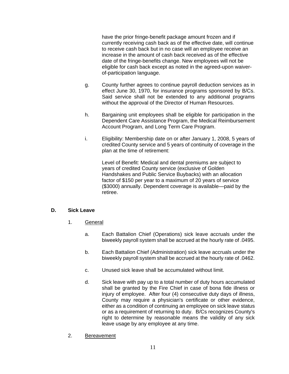have the prior fringe-benefit package amount frozen and if currently receiving cash back as of the effective date, will continue to receive cash back but in no case will an employee receive an increase in the amount of cash back received as of the effective date of the fringe-benefits change. New employees will not be eligible for cash back except as noted in the agreed-upon waiverof-participation language.

- g. County further agrees to continue payroll deduction services as in effect June 30, 1970, for insurance programs sponsored by B/Cs. Said service shall not be extended to any additional programs without the approval of the Director of Human Resources.
- h. Bargaining unit employees shall be eligible for participation in the Dependent Care Assistance Program, the Medical Reimbursement Account Program, and Long Term Care Program.
- i. Eligibility: Membership date on or after January 1, 2008, 5 years of credited County service and 5 years of continuity of coverage in the plan at the time of retirement:

Level of Benefit: Medical and dental premiums are subject to years of credited County service (exclusive of Golden Handshakes and Public Service Buybacks) with an allocation factor of \$150 per year to a maximum of 20 years of service (\$3000) annually. Dependent coverage is available—paid by the retiree.

## <span id="page-10-0"></span>**D. Sick Leave**

- 1. General
	- a. Each Battalion Chief (Operations) sick leave accruals under the biweekly payroll system shall be accrued at the hourly rate of .0495.
	- b. Each Battalion Chief (Administration) sick leave accruals under the biweekly payroll system shall be accrued at the hourly rate of .0462.
	- c. Unused sick leave shall be accumulated without limit.
	- d. Sick leave with pay up to a total number of duty hours accumulated shall be granted by the Fire Chief in case of bona fide illness or injury of employee. After four (4) consecutive duty days of illness, County may require a physician's certificate or other evidence, either as a condition of continuing an employee on sick leave status or as a requirement of returning to duty. B/Cs recognizes County's right to determine by reasonable means the validity of any sick leave usage by any employee at any time.
- 2. Bereavement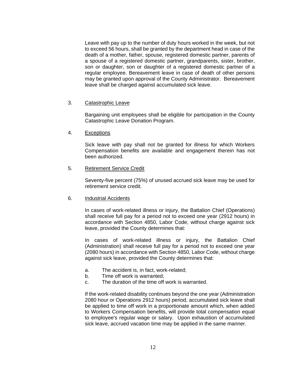Leave with pay up to the number of duty hours worked in the week, but not to exceed 56 hours, shall be granted by the department head in case of the death of a mother, father, spouse, registered domestic partner, parents of a spouse of a registered domestic partner, grandparents, sister, brother, son or daughter, son or daughter of a registered domestic partner of a regular employee. Bereavement leave in case of death of other persons may be granted upon approval of the County Administrator. Bereavement leave shall be charged against accumulated sick leave.

#### 3. Catastrophic Leave

Bargaining unit employees shall be eligible for participation in the County Catastrophic Leave Donation Program.

#### 4. Exceptions

Sick leave with pay shall not be granted for illness for which Workers Compensation benefits are available and engagement therein has not been authorized.

## 5. Retirement Service Credit

Seventy-five percent (75%) of unused accrued sick leave may be used for retirement service credit.

#### 6. Industrial Accidents

In cases of work-related illness or injury, the Battalion Chief (Operations) shall receive full pay for a period not to exceed one year (2912 hours) in accordance with Section 4850, Labor Code, without charge against sick leave, provided the County determines that:

In cases of work-related illness or injury, the Battalion Chief (Administration) shall receive full pay for a period not to exceed one year (2080 hours) in accordance with Section 4850, Labor Code, without charge against sick leave, provided the County determines that:

- a. The accident is, in fact, work-related;
- b. Time off work is warranted;
- c. The duration of the time off work is warranted.

If the work-related disability continues beyond the one year (Administration 2080 hour or Operations 2912 hours) period, accumulated sick leave shall be applied to time off work in a proportionate amount which, when added to Workers Compensation benefits, will provide total compensation equal to employee's regular wage or salary. Upon exhaustion of accumulated sick leave, accrued vacation time may be applied in the same manner.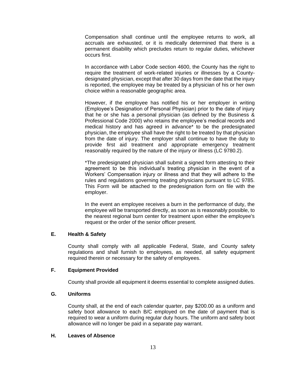Compensation shall continue until the employee returns to work, all accruals are exhausted, or it is medically determined that there is a permanent disability which precludes return to regular duties, whichever occurs first.

In accordance with Labor Code section 4600, the County has the right to require the treatment of work-related injuries or illnesses by a Countydesignated physician, except that after 30 days from the date that the injury is reported, the employee may be treated by a physician of his or her own choice within a reasonable geographic area.

However, if the employee has notified his or her employer in writing (Employee's Designation of Personal Physician) prior to the date of injury that he or she has a personal physician (as defined by the Business & Professional Code 2000) who retains the employee's medical records and medical history and has agreed in advance\* to be the predesignated physician, the employee shall have the right to be treated by that physician from the date of injury. The employer shall continue to have the duty to provide first aid treatment and appropriate emergency treatment reasonably required by the nature of the injury or illness (LC 9780.2).

\*The predesignated physician shall submit a signed form attesting to their agreement to be this individual's treating physician in the event of a Workers' Compensation injury or illness and that they will adhere to the rules and regulations governing treating physicians pursuant to LC 9785. This Form will be attached to the predesignation form on file with the employer.

In the event an employee receives a burn in the performance of duty, the employee will be transported directly, as soon as is reasonably possible, to the nearest regional burn center for treatment upon either the employee's request or the order of the senior officer present.

## <span id="page-12-0"></span>**E. Health & Safety**

County shall comply with all applicable Federal, State, and County safety regulations and shall furnish to employees, as needed, all safety equipment required therein or necessary for the safety of employees.

## <span id="page-12-1"></span>**F. Equipment Provided**

County shall provide all equipment it deems essential to complete assigned duties.

#### <span id="page-12-2"></span>**G. Uniforms**

County shall, at the end of each calendar quarter, pay \$200.00 as a uniform and safety boot allowance to each B/C employed on the date of payment that is required to wear a uniform during regular duty hours. The uniform and safety boot allowance will no longer be paid in a separate pay warrant.

#### <span id="page-12-3"></span>**H. Leaves of Absence**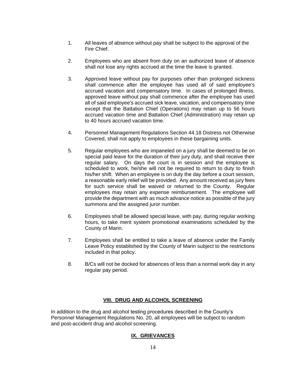- 1. All leaves of absence without pay shall be subject to the approval of the Fire Chief.
- 2. Employees who are absent from duty on an authorized leave of absence shall not lose any rights accrued at the time the leave is granted.
- 3. Approved leave without pay for purposes other than prolonged sickness shall commence after the employee has used all of said employee's accrued vacation and compensatory time. In cases of prolonged illness, approved leave without pay shall commence after the employee has used all of said employee's accrued sick leave, vacation, and compensatory time except that the Battalion Chief (Operations) may retain up to 56 hours accrued vacation time and Battalion Chief (Administration) may retain up to 40 hours accrued vacation time.
- 4. Personnel Management Regulations Section 44.18 Distress not Otherwise Covered, shall not apply to employees in these bargaining units.
- 5. Regular employees who are impaneled on a jury shall be deemed to be on special paid leave for the duration of their jury duty, and shall receive their regular salary. On days the court is in session and the employee is scheduled to work, he/she will not be required to return to duty to finish his/her shift. When an employee is on duty the day before a court session, a reasonable early relief will be provided. Any amount received as jury fees for such service shall be waived or returned to the County. Regular employees may retain any expense reimbursement. The employee will provide the department with as much advance notice as possible of the jury summons and the assigned juror number.
- 6. Employees shall be allowed special leave, with pay, during regular working hours, to take merit system promotional examinations scheduled by the County of Marin.
- 7. Employees shall be entitled to take a leave of absence under the Family Leave Policy established by the County of Marin subject to the restrictions included in that policy.
- 8. B/Cs will not be docked for absences of less than a normal work day in any regular pay period.

## **VIII. DRUG AND ALCOHOL SCREENING**

<span id="page-13-1"></span><span id="page-13-0"></span>In addition to the drug and alcohol testing procedures described in the County's Personnel Management Regulations No. 20, all employees will be subject to random and post-accident drug and alcohol screening.

# **IX. GRIEVANCES**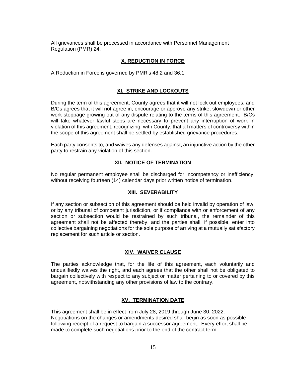All grievances shall be processed in accordance with Personnel Management Regulation (PMR) 24.

## **X. REDUCTION IN FORCE**

<span id="page-14-0"></span>A Reduction in Force is governed by PMR's 48.2 and 36.1.

## **XI. STRIKE AND LOCKOUTS**

<span id="page-14-1"></span>During the term of this agreement, County agrees that it will not lock out employees, and B/Cs agrees that it will not agree in, encourage or approve any strike, slowdown or other work stoppage growing out of any dispute relating to the terms of this agreement. B/Cs will take whatever lawful steps are necessary to prevent any interruption of work in violation of this agreement, recognizing, with County, that all matters of controversy within the scope of this agreement shall be settled by established grievance procedures.

Each party consents to, and waives any defenses against, an injunctive action by the other party to restrain any violation of this section.

#### **XII. NOTICE OF TERMINATION**

<span id="page-14-2"></span>No regular permanent employee shall be discharged for incompetency or inefficiency, without receiving fourteen (14) calendar days prior written notice of termination.

#### **XIII. SEVERABILITY**

If any section or subsection of this agreement should be held invalid by operation of law, or by any tribunal of competent jurisdiction, or if compliance with or enforcement of any section or subsection would be restrained by such tribunal, the remainder of this agreement shall not be affected thereby, and the parties shall, if possible, enter into collective bargaining negotiations for the sole purpose of arriving at a mutually satisfactory replacement for such article or section.

#### **XIV. WAIVER CLAUSE**

<span id="page-14-3"></span>The parties acknowledge that, for the life of this agreement, each voluntarily and unqualifiedly waives the right, and each agrees that the other shall not be obligated to bargain collectively with respect to any subject or matter pertaining to or covered by this agreement, notwithstanding any other provisions of law to the contrary.

#### **XV. TERMINATION DATE**

<span id="page-14-4"></span>This agreement shall be in effect from July 28, 2019 through June 30, 2022. Negotiations on the changes or amendments desired shall begin as soon as possible following receipt of a request to bargain a successor agreement. Every effort shall be made to complete such negotiations prior to the end of the contract term.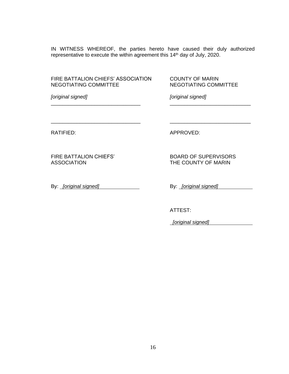IN WITNESS WHEREOF, the parties hereto have caused their duly authorized representative to execute the within agreement this 14th day of July, 2020.

\_\_\_\_\_\_\_\_\_\_\_\_\_\_\_\_\_\_\_\_\_\_\_\_\_\_\_\_\_\_\_ \_\_\_\_\_\_\_\_\_\_\_\_\_\_\_\_\_\_\_\_\_\_\_\_\_\_\_\_

\_\_\_\_\_\_\_\_\_\_\_\_\_\_\_\_\_\_\_\_\_\_\_\_\_\_\_\_\_\_\_ \_\_\_\_\_\_\_\_\_\_\_\_\_\_\_\_\_\_\_\_\_\_\_\_\_\_\_\_

FIRE BATTALION CHIEFS' ASSOCIATION COUNTY OF MARIN NEGOTIATING COMMITTEE NEGOTIATING COMMITTEE

*[original signed] [original signed]*

ASSOCIATION THE COUNTY OF MARIN

By: *[original signed]* By: *[original signed]* 

RATIFIED: APPROVED:

FIRE BATTALION CHIEFS' BOARD OF SUPERVISORS

ATTEST:

*[original signed]*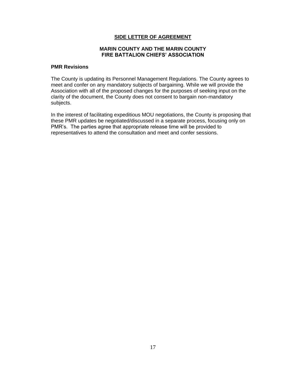## **SIDE LETTER OF AGREEMENT**

#### **MARIN COUNTY AND THE MARIN COUNTY FIRE BATTALION CHIEFS' ASSOCIATION**

#### <span id="page-16-1"></span><span id="page-16-0"></span>**PMR Revisions**

The County is updating its Personnel Management Regulations. The County agrees to meet and confer on any mandatory subjects of bargaining. While we will provide the Association with all of the proposed changes for the purposes of seeking input on the clarity of the document, the County does not consent to bargain non-mandatory subjects.

In the interest of facilitating expeditious MOU negotiations, the County is proposing that these PMR updates be negotiated/discussed in a separate process, focusing only on PMR's. The parties agree that appropriate release time will be provided to representatives to attend the consultation and meet and confer sessions.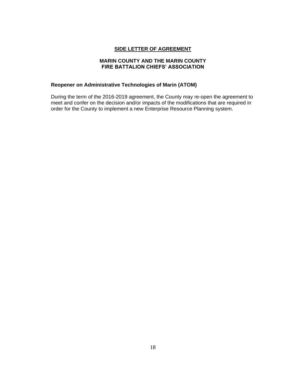## **SIDE LETTER OF AGREEMENT**

#### **MARIN COUNTY AND THE MARIN COUNTY FIRE BATTALION CHIEFS' ASSOCIATION**

## <span id="page-17-0"></span>**Reopener on Administrative Technologies of Marin (ATOM)**

During the term of the 2016-2019 agreement, the County may re-open the agreement to meet and confer on the decision and/or impacts of the modifications that are required in order for the County to implement a new Enterprise Resource Planning system.